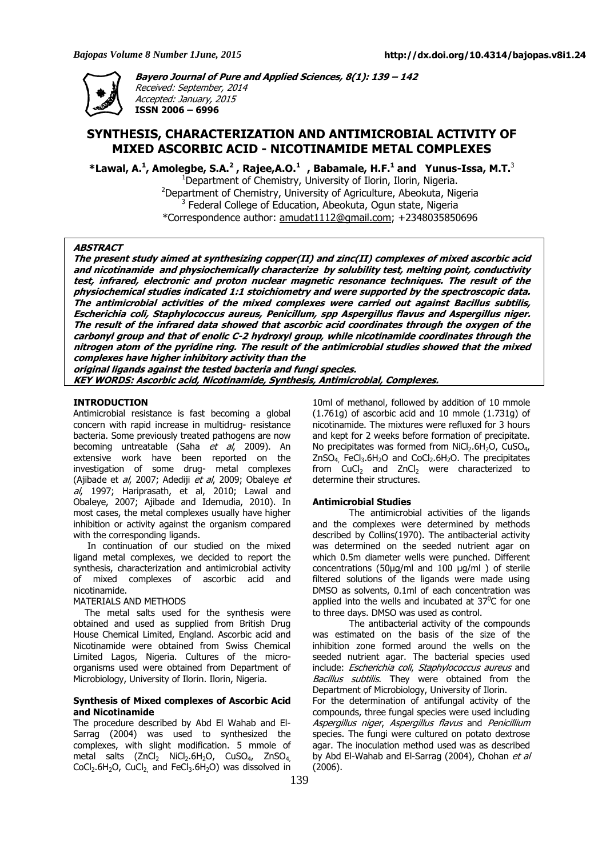

**Bayero Journal of Pure and Applied Sciences, 8(1): 139 – 142**  Received: September, 2014 Accepted: January, 2015 **ISSN 2006 – 6996** 

# **SYNTHESIS, CHARACTERIZATION AND ANTIMICROBIAL ACTIVITY OF MIXED ASCORBIC ACID - NICOTINAMIDE METAL COMPLEXES**

**\*Lawal, A.<sup>1</sup> , Amolegbe, S.A.<sup>2</sup> , Rajee,A.O.<sup>1</sup>, Babamale, H.F.<sup>1</sup> and Yunus-Issa, M.T.**<sup>3</sup> <sup>1</sup>Department of Chemistry, University of Ilorin, Ilorin, Nigeria.

 $2$ Department of Chemistry, University of Agriculture, Abeokuta, Nigeria <sup>3</sup> Federal College of Education, Abeokuta, Ogun state, Nigeria \*Correspondence author: amudat1112@gmail.com; +2348035850696

#### **ABSTRACT**

**The present study aimed at synthesizing copper(II) and zinc(II) complexes of mixed ascorbic acid and nicotinamide and physiochemically characterize by solubility test, melting point, conductivity test, infrared, electronic and proton nuclear magnetic resonance techniques. The result of the physiochemical studies indicated 1:1 stoichiometry and were supported by the spectroscopic data. The antimicrobial activities of the mixed complexes were carried out against Bacillus subtilis, Escherichia coli, Staphylococcus aureus, Penicillum, spp Aspergillus flavus and Aspergillus niger. The result of the infrared data showed that ascorbic acid coordinates through the oxygen of the carbonyl group and that of enolic C-2 hydroxyl group, while nicotinamide coordinates through the nitrogen atom of the pyridine ring. The result of the antimicrobial studies showed that the mixed complexes have higher inhibitory activity than the** 

**original ligands against the tested bacteria and fungi species. KEY WORDS: Ascorbic acid, Nicotinamide, Synthesis, Antimicrobial, Complexes.** 

## **INTRODUCTION**

Antimicrobial resistance is fast becoming a global concern with rapid increase in multidrug- resistance bacteria. Some previously treated pathogens are now becoming untreatable (Saha *et al*, 2009). An extensive work have been reported on the investigation of some drug- metal complexes (Ajibade et al, 2007; Adediji et al, 2009; Obaleye et al, 1997; Hariprasath, et al, 2010; Lawal and Obaleye, 2007; Ajibade and Idemudia, 2010). In most cases, the metal complexes usually have higher inhibition or activity against the organism compared with the corresponding ligands.

 In continuation of our studied on the mixed ligand metal complexes, we decided to report the synthesis, characterization and antimicrobial activity of mixed complexes of ascorbic acid and nicotinamide.

#### MATERIALS AND METHODS

 The metal salts used for the synthesis were obtained and used as supplied from British Drug House Chemical Limited, England. Ascorbic acid and Nicotinamide were obtained from Swiss Chemical Limited Lagos, Nigeria. Cultures of the microorganisms used were obtained from Department of Microbiology, University of Ilorin. Ilorin, Nigeria.

## **Synthesis of Mixed complexes of Ascorbic Acid and Nicotinamide**

The procedure described by Abd El Wahab and El-Sarrag (2004) was used to synthesized the complexes, with slight modification. 5 mmole of metal salts  $(ZnCl<sub>2</sub> NiCl<sub>2</sub>.6H<sub>2</sub>O$ ,  $CuSO<sub>4</sub>$ ,  $ZnSO<sub>4</sub>$  $CoCl<sub>2</sub>.6H<sub>2</sub>O$ ,  $CuCl<sub>2</sub>$  and  $FeCl<sub>3</sub>.6H<sub>2</sub>O$ ) was dissolved in

10ml of methanol, followed by addition of 10 mmole (1.761g) of ascorbic acid and 10 mmole (1.731g) of nicotinamide. The mixtures were refluxed for 3 hours and kept for 2 weeks before formation of precipitate. No precipitates was formed from  $NiCl<sub>2</sub>.6H<sub>2</sub>O$ , CuSO<sub>4</sub>,  $ZnSO<sub>4</sub>$ , FeCl<sub>3</sub>.6H<sub>2</sub>O and CoCl<sub>2</sub>.6H<sub>2</sub>O. The precipitates from  $CuCl<sub>2</sub>$  and ZnCl<sub>2</sub> were characterized to determine their structures.

#### **Antimicrobial Studies**

The antimicrobial activities of the ligands and the complexes were determined by methods described by Collins(1970). The antibacterial activity was determined on the seeded nutrient agar on which 0.5m diameter wells were punched. Different concentrations (50µg/ml and 100 µg/ml ) of sterile filtered solutions of the ligands were made using DMSO as solvents, 0.1ml of each concentration was applied into the wells and incubated at  $37^{\circ}$ C for one to three days. DMSO was used as control.

 The antibacterial activity of the compounds was estimated on the basis of the size of the inhibition zone formed around the wells on the seeded nutrient agar. The bacterial species used include: Escherichia coli, Staphylococcus aureus and Bacillus subtilis. They were obtained from the Department of Microbiology, University of Ilorin.

For the determination of antifungal activity of the compounds, three fungal species were used including Aspergillus niger, Aspergillus flavus and Penicillium species. The fungi were cultured on potato dextrose agar. The inoculation method used was as described by Abd El-Wahab and El-Sarrag (2004), Chohan et al (2006).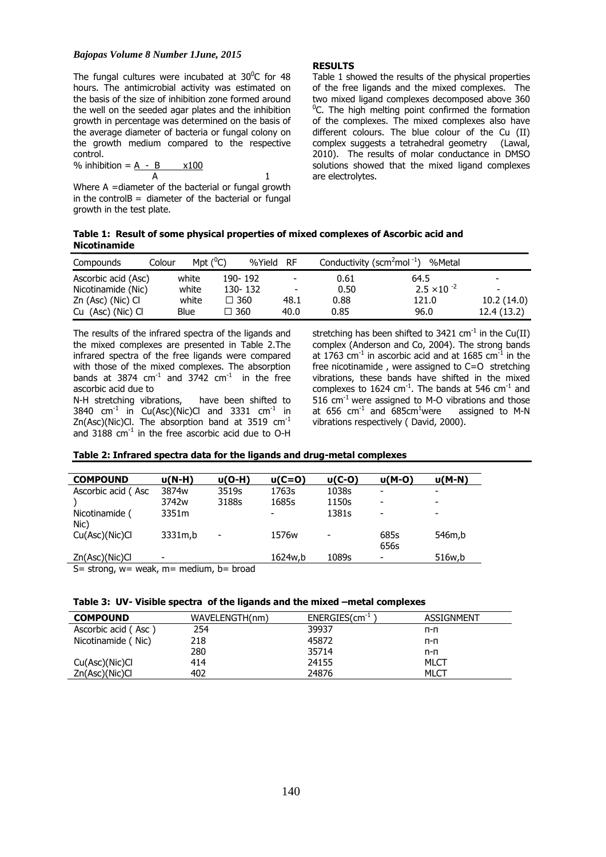#### *Bajopas Volume 8 Number 1June, 2015*

The fungal cultures were incubated at  $30^{\circ}$ C for 48 hours. The antimicrobial activity was estimated on the basis of the size of inhibition zone formed around the well on the seeded agar plates and the inhibition growth in percentage was determined on the basis of the average diameter of bacteria or fungal colony on the growth medium compared to the respective control.

$$
\frac{\%}{A} \text{inhibition} = \frac{A - B}{A} \times 100
$$

Where A =diameter of the bacterial or fungal growth in the control $B =$  diameter of the bacterial or fungal growth in the test plate.

#### **RESULTS**

Table 1 showed the results of the physical properties of the free ligands and the mixed complexes. The two mixed ligand complexes decomposed above 360  $^{0}$ C. The high melting point confirmed the formation of the complexes. The mixed complexes also have different colours. The blue colour of the Cu (II) complex suggests a tetrahedral geometry (Lawal, 2010). The results of molar conductance in DMSO solutions showed that the mixed ligand complexes are electrolytes.

**Table 1: Result of some physical properties of mixed complexes of Ascorbic acid and Nicotinamide** 

| Compounds           | Colour | Mpt $(^0C)$ |               | %Yield | RF.                      | Conductivity (scm <sup>2</sup> mol <sup>-1</sup> ) | %Metal               |                          |
|---------------------|--------|-------------|---------------|--------|--------------------------|----------------------------------------------------|----------------------|--------------------------|
| Ascorbic acid (Asc) |        | white       | 190-192       |        | $\overline{\phantom{a}}$ | 0.61                                               | 64.5                 | $\overline{\phantom{0}}$ |
| Nicotinamide (Nic)  |        | white       | 130-132       |        | $\overline{\phantom{a}}$ | 0.50                                               | $2.5 \times 10^{-2}$ | $\overline{\phantom{0}}$ |
| Zn (Asc) (Nic) Cl   |        | white       | $\Box$ 360    |        | 48.1                     | 0.88                                               | 121.0                | 10.2(14.0)               |
| Cu (Asc) (Nic) Cl   |        | Blue        | $\square$ 360 |        | 40.0                     | 0.85                                               | 96.0                 | 12.4 (13.2)              |

The results of the infrared spectra of the ligands and the mixed complexes are presented in Table 2.The infrared spectra of the free ligands were compared with those of the mixed complexes. The absorption bands at 3874  $cm^{-1}$  and 3742  $cm^{-1}$  in the free ascorbic acid due to

N-H stretching vibrations, have been shifted to 3840 cm<sup>-1</sup> in Cu(Asc)(Nic)Cl and 3331 cm<sup>-1</sup> in Zn(Asc)(Nic)Cl. The absorption band at 3519  $cm^{-1}$ and  $3188 \text{ cm}^{-1}$  in the free ascorbic acid due to O-H stretching has been shifted to  $3421 \text{ cm}^{-1}$  in the Cu(II) complex (Anderson and Co, 2004). The strong bands at 1763  $cm<sup>-1</sup>$  in ascorbic acid and at 1685  $cm<sup>-1</sup>$  in the free nicotinamide , were assigned to C=O stretching vibrations, these bands have shifted in the mixed complexes to  $1624$  cm<sup>-1</sup>. The bands at 546 cm<sup>-1</sup> and 516  $cm<sup>-1</sup>$  were assigned to M-O vibrations and those at  $656$  cm<sup>-1</sup> and  $685$ cm<sup>1</sup>were assigned to M-N vibrations respectively ( David, 2000).

|  | Table 2: Infrared spectra data for the ligands and drug-metal complexes |  |  |
|--|-------------------------------------------------------------------------|--|--|
|--|-------------------------------------------------------------------------|--|--|

| <b>COMPOUND</b>                                   | $U(N-H)$                 | $U(O-H)$                 | $U(C=O)$          | $U(C-O)$ | u(M-0)                   | <b>u(M-N)</b> |  |
|---------------------------------------------------|--------------------------|--------------------------|-------------------|----------|--------------------------|---------------|--|
| Ascorbic acid (Asc                                | 3874 <sub>w</sub>        | 3519s                    | 1763s             | 1038s    |                          | -             |  |
|                                                   | 3742 <sub>w</sub>        | 3188s                    | 1685s             | 1150s    | ۰                        |               |  |
| Nicotinamide (<br>Nic)                            | 3351m                    |                          |                   | 1381s    | ۰                        |               |  |
| Cu(Asc)(Nic)Cl                                    | 3331m,b                  | $\overline{\phantom{0}}$ | 1576 <sub>w</sub> |          | 685s<br>656s             | 546m,b        |  |
| Zn(Asc)(Nic)Cl                                    | $\overline{\phantom{a}}$ |                          | 1624w.b           | 1089s    | $\overline{\phantom{a}}$ | 516w.b        |  |
| S = strong, $w =$ weak, $m =$ medium, $b =$ broad |                          |                          |                   |          |                          |               |  |

**Table 3: UV- Visible spectra of the ligands and the mixed –metal complexes** 

| <b>COMPOUND</b>     | WAVELENGTH(nm) | $ENERGIES (cm-1)$ | ASSIGNMENT |
|---------------------|----------------|-------------------|------------|
| Ascorbic acid (Asc) | 254            | 39937             | п-п        |
| Nicotinamide (Nic)  | 218            | 45872             | п-п        |
|                     | 280            | 35714             | n-n        |
| Cu(Asc)(Nic)Cl      | 414            | 24155             | MLCT       |
| Zn(Asc)(Nic)Cl      | 402            | 24876             | MLCT       |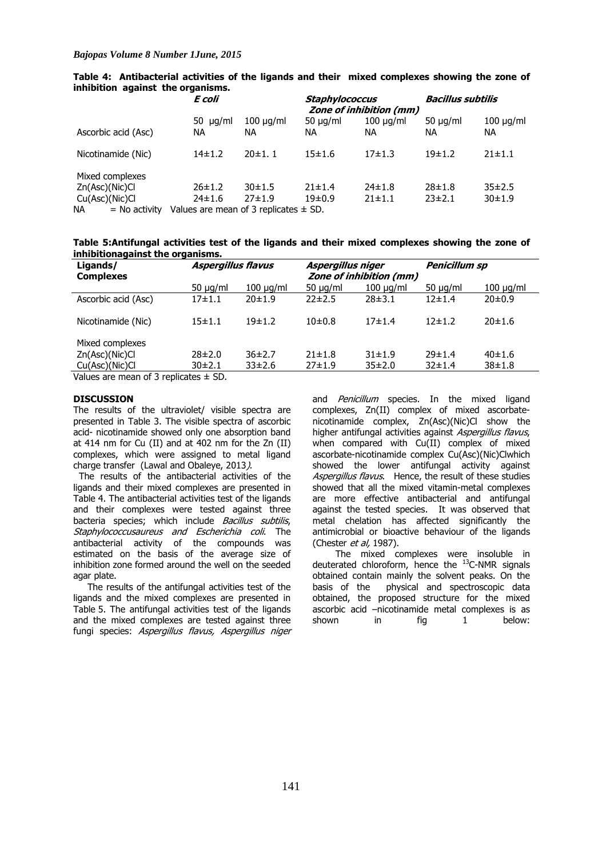| E coli                       |                            | <b>Staphylococcus</b><br><b>Zone of inhibition (mm)</b> |                                           | <b>Bacillus subtilis</b>     |                       |
|------------------------------|----------------------------|---------------------------------------------------------|-------------------------------------------|------------------------------|-----------------------|
| 50 $\mu$ g/ml<br>NA.         | $100 \mu q/ml$<br>ΝA       | 50 $\mu$ g/ml<br>ΝA                                     | $100 \mu q/ml$<br>NA.                     | $50 \mu q/ml$<br>NA.         | $100 \mu g/ml$<br>NA. |
| 14±1.2                       | 20±1.1                     | $15 + 1.6$                                              | $17 + 1.3$                                | 19±1.2                       | $21 \pm 1.1$          |
| $26 \pm 1.2$<br>$24 \pm 1.6$ | $30 + 1.5$<br>$27 \pm 1.9$ | $21 \pm 1.4$<br>19±0.9                                  | $24 \pm 1.8$<br>$21 \pm 1.1$              | $28 \pm 1.8$<br>$23 \pm 2.1$ | 35±2.5<br>30±1.9      |
|                              |                            |                                                         | Values are mean of 3 replicates $\pm$ SD. |                              |                       |

**Table 4: Antibacterial activities of the ligands and their mixed complexes showing the zone of inhibition against the organisms.** 

**Table 5:Antifungal activities test of the ligands and their mixed complexes showing the zone of inhibitionagainst the organisms.** 

| Ligands/<br><b>Complexes</b>               | <b>Aspergillus flavus</b> |                | Aspergillus niger | <b>Zone of inhibition (mm)</b> | <b>Penicillum sp</b> |                |  |  |
|--------------------------------------------|---------------------------|----------------|-------------------|--------------------------------|----------------------|----------------|--|--|
|                                            | $50 \mu q/ml$             | $100 \mu q/ml$ | $50 \mu q/ml$     | $100 \mu q/ml$                 | $50 \mu q/ml$        | $100 \mu q/ml$ |  |  |
| Ascorbic acid (Asc)                        | $17 + 1.1$                | 20±1.9         | 22±2.5            | $28 \pm 3.1$                   | 12±1.4               | 20±0.9         |  |  |
| Nicotinamide (Nic)                         | $15 \pm 1.1$              | 19±1.2         | 10±0.8            | $17 + 1.4$                     | $12 + 1.2$           | 20±1.6         |  |  |
| Mixed complexes                            |                           |                |                   |                                |                      |                |  |  |
| Zn(Asc)(Nic)Cl                             | $28 \pm 2.0$              | 36±2.7         | $21 \pm 1.8$      | $31 \pm 1.9$                   | 29±1.4               | 40±1.6         |  |  |
| Cu(Asc)(Nic)Cl                             | 30±2.1                    | $33\pm2.6$     | $27 \pm 1.9$      | 35±2.0                         | $32 \pm 1.4$         | $38 + 1.8$     |  |  |
| $Values$ are mean of 2 repliested $\pm$ CD |                           |                |                   |                                |                      |                |  |  |

Values are mean of 3 replicates ± SD.

# **DISCUSSION**

The results of the ultraviolet/ visible spectra are presented in Table 3. The visible spectra of ascorbic acid- nicotinamide showed only one absorption band at 414 nm for Cu (II) and at 402 nm for the Zn (II) complexes, which were assigned to metal ligand charge transfer (Lawal and Obaleye, 2013).

 The results of the antibacterial activities of the ligands and their mixed complexes are presented in Table 4. The antibacterial activities test of the ligands and their complexes were tested against three bacteria species; which include Bacillus subtilis, Staphylococcusaureus and Escherichia coli. The antibacterial activity of the compounds was estimated on the basis of the average size of inhibition zone formed around the well on the seeded agar plate.

 The results of the antifungal activities test of the ligands and the mixed complexes are presented in Table 5. The antifungal activities test of the ligands and the mixed complexes are tested against three fungi species: Aspergillus flavus, Aspergillus niger

and *Penicillum* species. In the mixed ligand complexes, Zn(II) complex of mixed ascorbatenicotinamide complex, Zn(Asc)(Nic)Cl show the higher antifungal activities against Aspergillus flavus, when compared with Cu(II) complex of mixed ascorbate-nicotinamide complex Cu(Asc)(Nic)Clwhich showed the lower antifungal activity against Aspergillus flavus. Hence, the result of these studies showed that all the mixed vitamin-metal complexes are more effective antibacterial and antifungal against the tested species. It was observed that metal chelation has affected significantly the antimicrobial or bioactive behaviour of the ligands (Chester *et al.* 1987).

 The mixed complexes were insoluble in deuterated chloroform, hence the <sup>13</sup>C-NMR signals obtained contain mainly the solvent peaks. On the basis of the physical and spectroscopic data obtained, the proposed structure for the mixed ascorbic acid –nicotinamide metal complexes is as<br>shown in fig. 1 helow:  $shown$  in fig  $1$